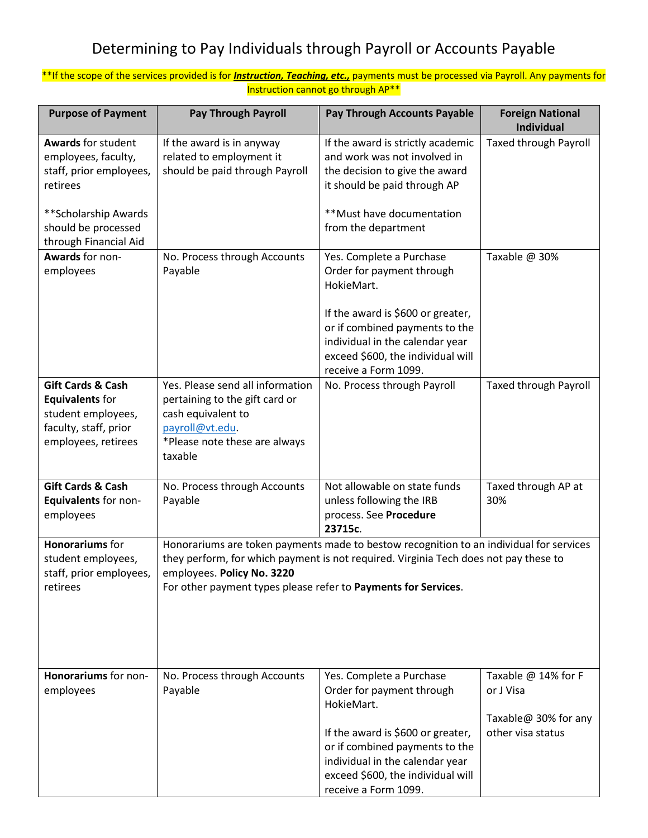## Determining to Pay Individuals through Payroll or Accounts Payable

## \*\*If the scope of the services provided is for *Instruction, Teaching, etc.,* payments must be processed via Payroll. Any payments for Instruction cannot go through AP\*\*

| <b>Purpose of Payment</b>                                                                                                              | <b>Pay Through Payroll</b>                                                                                                                                                                                                                                                      | <b>Pay Through Accounts Payable</b>                                                                                                                                                                                                        | <b>Foreign National</b><br><b>Individual</b>                                  |
|----------------------------------------------------------------------------------------------------------------------------------------|---------------------------------------------------------------------------------------------------------------------------------------------------------------------------------------------------------------------------------------------------------------------------------|--------------------------------------------------------------------------------------------------------------------------------------------------------------------------------------------------------------------------------------------|-------------------------------------------------------------------------------|
| <b>Awards for student</b><br>employees, faculty,<br>staff, prior employees,<br>retirees<br>**Scholarship Awards<br>should be processed | If the award is in anyway<br>related to employment it<br>should be paid through Payroll                                                                                                                                                                                         | If the award is strictly academic<br>and work was not involved in<br>the decision to give the award<br>it should be paid through AP<br>**Must have documentation<br>from the department                                                    | <b>Taxed through Payroll</b>                                                  |
| through Financial Aid<br>Awards for non-<br>employees                                                                                  | No. Process through Accounts<br>Payable                                                                                                                                                                                                                                         | Yes. Complete a Purchase<br>Order for payment through<br>HokieMart.<br>If the award is \$600 or greater,<br>or if combined payments to the<br>individual in the calendar year<br>exceed \$600, the individual will<br>receive a Form 1099. | Taxable @ 30%                                                                 |
| <b>Gift Cards &amp; Cash</b><br><b>Equivalents for</b><br>student employees,<br>faculty, staff, prior<br>employees, retirees           | Yes. Please send all information<br>pertaining to the gift card or<br>cash equivalent to<br>payroll@vt.edu.<br>*Please note these are always<br>taxable                                                                                                                         | No. Process through Payroll                                                                                                                                                                                                                | <b>Taxed through Payroll</b>                                                  |
| <b>Gift Cards &amp; Cash</b><br>Equivalents for non-<br>employees                                                                      | No. Process through Accounts<br>Payable                                                                                                                                                                                                                                         | Not allowable on state funds<br>unless following the IRB<br>process. See Procedure<br>23715c.                                                                                                                                              | Taxed through AP at<br>30%                                                    |
| <b>Honorariums</b> for<br>student employees,<br>staff, prior employees,<br>retirees                                                    | Honorariums are token payments made to bestow recognition to an individual for services<br>they perform, for which payment is not required. Virginia Tech does not pay these to<br>employees. Policy No. 3220<br>For other payment types please refer to Payments for Services. |                                                                                                                                                                                                                                            |                                                                               |
| Honorariums for non-<br>employees                                                                                                      | No. Process through Accounts<br>Payable                                                                                                                                                                                                                                         | Yes. Complete a Purchase<br>Order for payment through<br>HokieMart.<br>If the award is \$600 or greater,<br>or if combined payments to the<br>individual in the calendar year<br>exceed \$600, the individual will<br>receive a Form 1099. | Taxable @ 14% for F<br>or J Visa<br>Taxable@ 30% for any<br>other visa status |